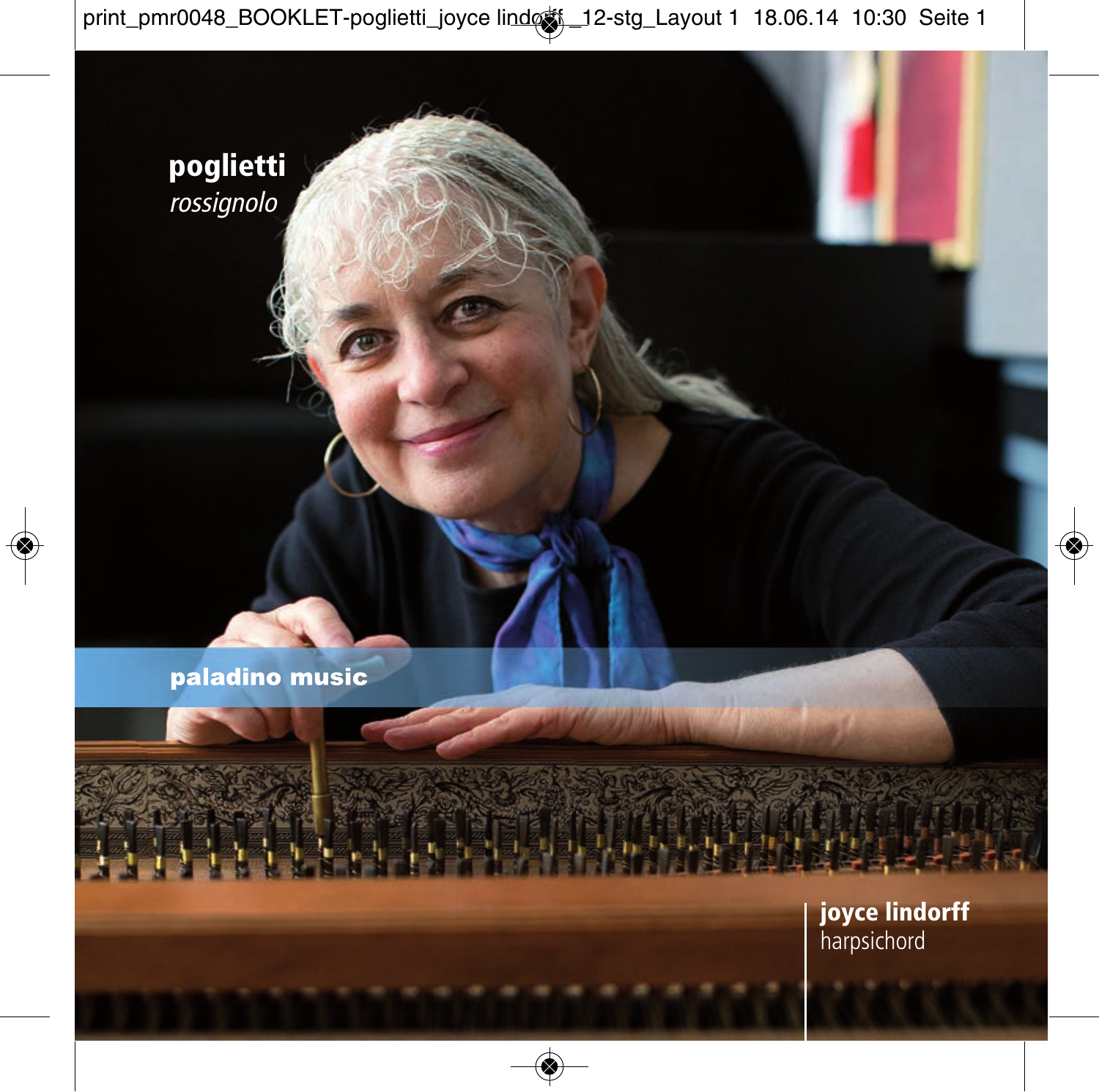**poglietti** rossignolo

## paladino music

**joyce lindorff** harpsichord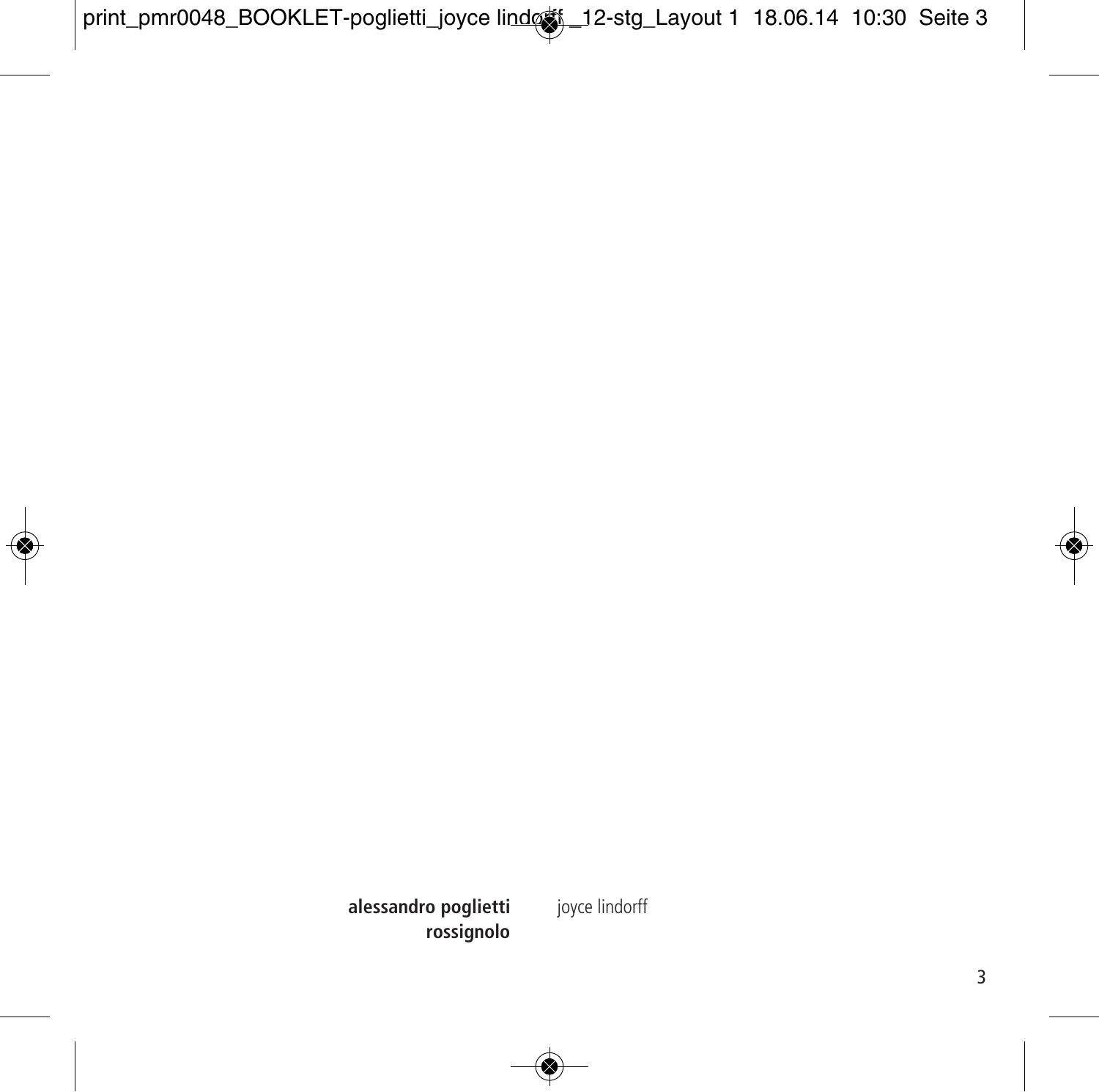**alessandro poglietti rossignolo** joyce lindorff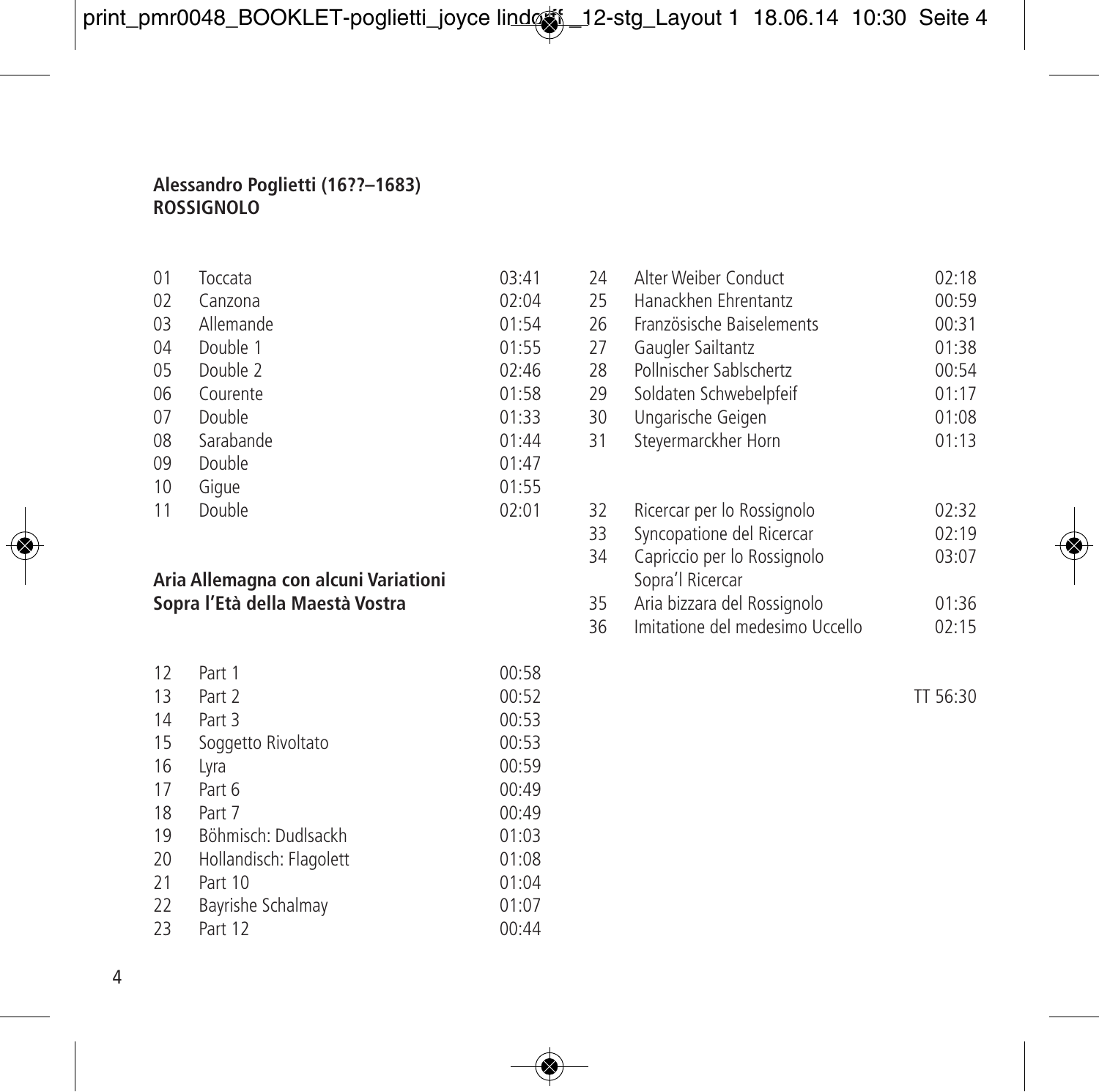## **Alessandro Poglietti (16??–1683) ROSSIGNOLO**

| 01 | Toccata   | 03:41 |
|----|-----------|-------|
| 02 | Canzona   | 02:04 |
| 03 | Allemande | 01:54 |
| 04 | Double 1  | 01:55 |
| 05 | Double 2  | 02:46 |
| 06 | Courente  | 01:58 |
| 07 | Double    | 01:33 |
| 08 | Sarabande | 01:44 |
| 09 | Double    | 01:47 |
| 10 | Gique     | 01:55 |
| 11 | Double    | 02:01 |

## **Aria Allemagna con alcuni Variationi Sopra l'Età della Maestà Vostra**

| Part 1                 | 00:58 |
|------------------------|-------|
| Part 2                 | 00:52 |
| Part 3                 | 00:53 |
| Soggetto Rivoltato     | 00:53 |
| Lyra                   | 00:59 |
| Part 6                 | 00:49 |
| Part 7                 | 00:49 |
| Böhmisch: Dudlsackh    | 01:03 |
| Hollandisch: Flagolett | 01:08 |
| Part 10                | 01:04 |
| Bayrishe Schalmay      | 01:07 |
| Part 12                | 00:44 |
|                        |       |

| 24 | Alter Weiber Conduct            | 02.18 |
|----|---------------------------------|-------|
| 25 | Hanackhen Ehrentantz            | 00:59 |
| 26 | Französische Baiselements       | 00:31 |
| 27 | Gaugler Sailtantz               | 01:38 |
| 28 | Pollnischer Sablschertz         | 00:54 |
| 29 | Soldaten Schwebelpfeif          | 01:17 |
| 30 | Ungarische Geigen               | 01:08 |
| 31 | Stevermarckher Horn             | 01:13 |
|    |                                 |       |
|    |                                 |       |
| 32 | Ricercar per lo Rossignolo      | 02:32 |
| 33 | Syncopatione del Ricercar       | 02:19 |
| 34 | Capriccio per lo Rossignolo     | 03:07 |
|    | Sopra'l Ricercar                |       |
| 35 | Aria bizzara del Rossignolo     | 01:36 |
| 36 | Imitatione del medesimo Uccello | 02:15 |
|    |                                 |       |

TT 56:30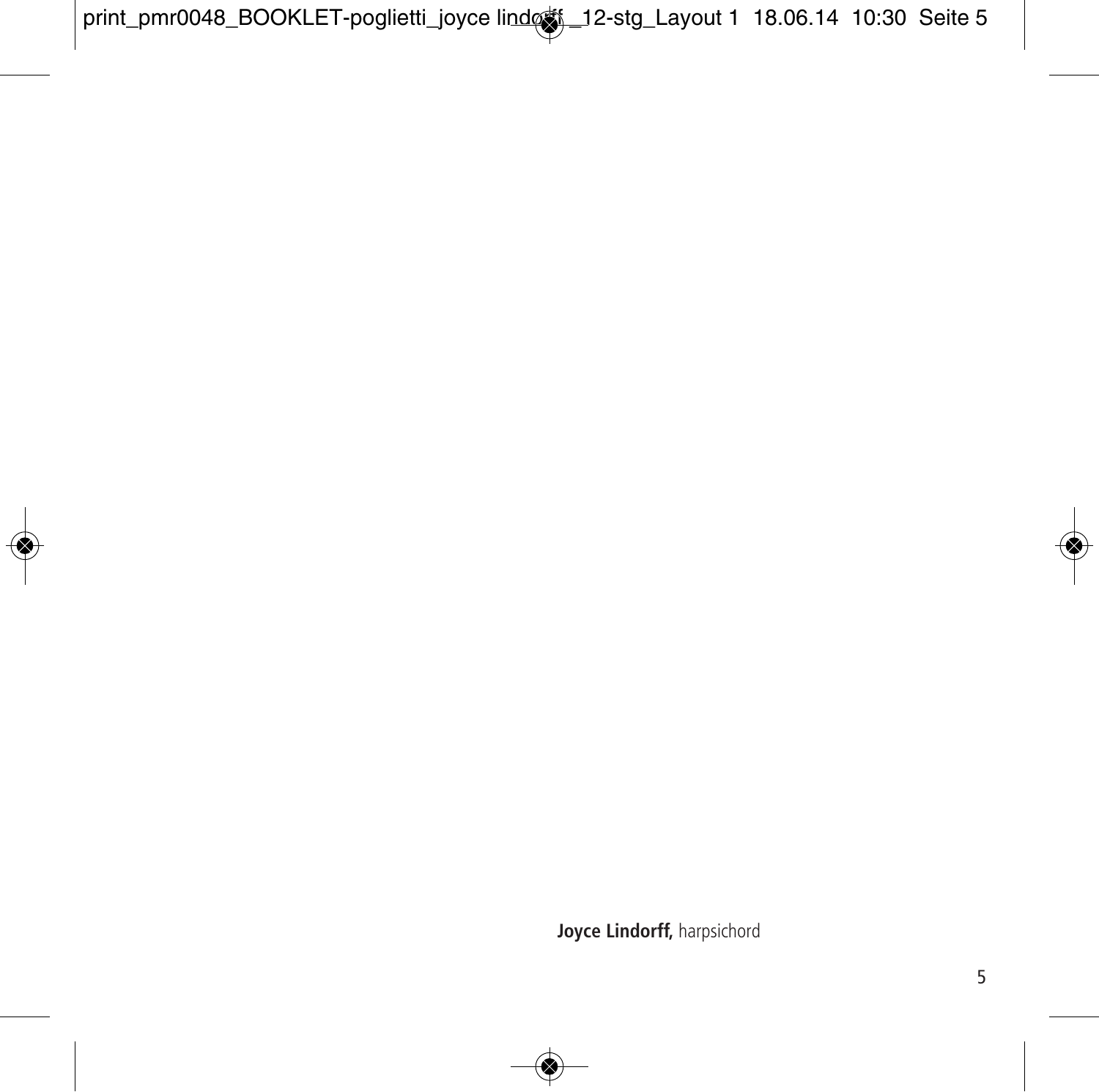**Joyce Lindorff,** harpsichord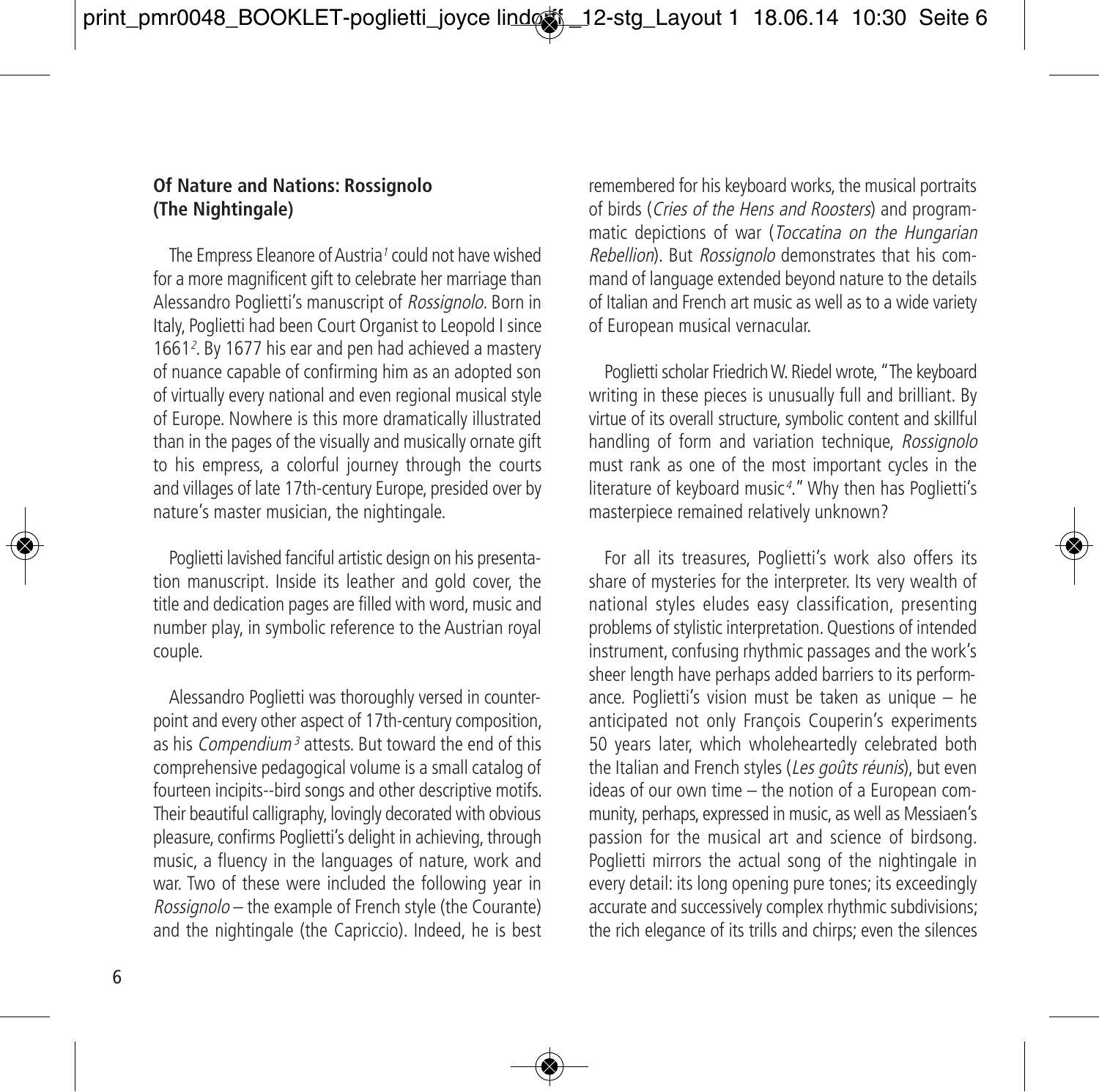## **Of Nature and Nations: Rossignolo (The Nightingale)**

The Empress Eleanore of Austria<sup>1</sup> could not have wished for a more magnificent gift to celebrate her marriage than Alessandro Poglietti's manuscript of Rossignolo. Born in Italy, Poglietti had been Court Organist to Leopold I since 16612. By 1677 his ear and pen had achieved a mastery of nuance capable of confirming him as an adopted son of virtually every national and even regional musical style of Europe. Nowhere is this more dramatically illustrated than in the pages of the visually and musically ornate gift to his empress, a colorful journey through the courts and villages of late 17th-century Europe, presided over by nature's master musician, the nightingale.

Poglietti lavished fanciful artistic design on his presentation manuscript. Inside its leather and gold cover, the title and dedication pages are filled with word, music and number play, in symbolic reference to the Austrian royal couple.

Alessandro Poglietti was thoroughly versed in counterpoint and every other aspect of 17th-century composition, as his *Compendium<sup>3</sup>* attests. But toward the end of this comprehensive pedagogical volume is a small catalog of fourteen incipits--bird songs and other descriptive motifs. Their beautiful calligraphy, lovingly decorated with obvious pleasure, confirms Poglietti's delight in achieving, through music, a fluency in the languages of nature, work and war. Two of these were included the following year in Rossignolo – the example of French style (the Courante) and the nightingale (the Capriccio). Indeed, he is best remembered for his keyboard works, the musical portraits of birds (Cries of the Hens and Roosters) and programmatic depictions of war (Toccatina on the Hungarian Rebellion). But Rossignolo demonstrates that his command of language extended beyond nature to the details of Italian and French art music as well as to a wide variety of European musical vernacular.

Poglietti scholar Friedrich W. Riedel wrote, "The keyboard writing in these pieces is unusually full and brilliant. By virtue of its overall structure, symbolic content and skillful handling of form and variation technique, Rossignolo must rank as one of the most important cycles in the literature of keyboard music4." Why then has Poglietti's masterpiece remained relatively unknown?

For all its treasures, Poglietti's work also offers its share of mysteries for the interpreter. Its very wealth of national styles eludes easy classification, presenting problems of stylistic interpretation. Questions of intended instrument, confusing rhythmic passages and the work's sheer length have perhaps added barriers to its performance. Poglietti's vision must be taken as unique – he anticipated not only François Couperin's experiments 50 years later, which wholeheartedly celebrated both the Italian and French styles (Les goûts réunis), but even ideas of our own time – the notion of a European community, perhaps, expressed in music, as well as Messiaen's passion for the musical art and science of birdsong. Poglietti mirrors the actual song of the nightingale in every detail: its long opening pure tones; its exceedingly accurate and successively complex rhythmic subdivisions; the rich elegance of its trills and chirps; even the silences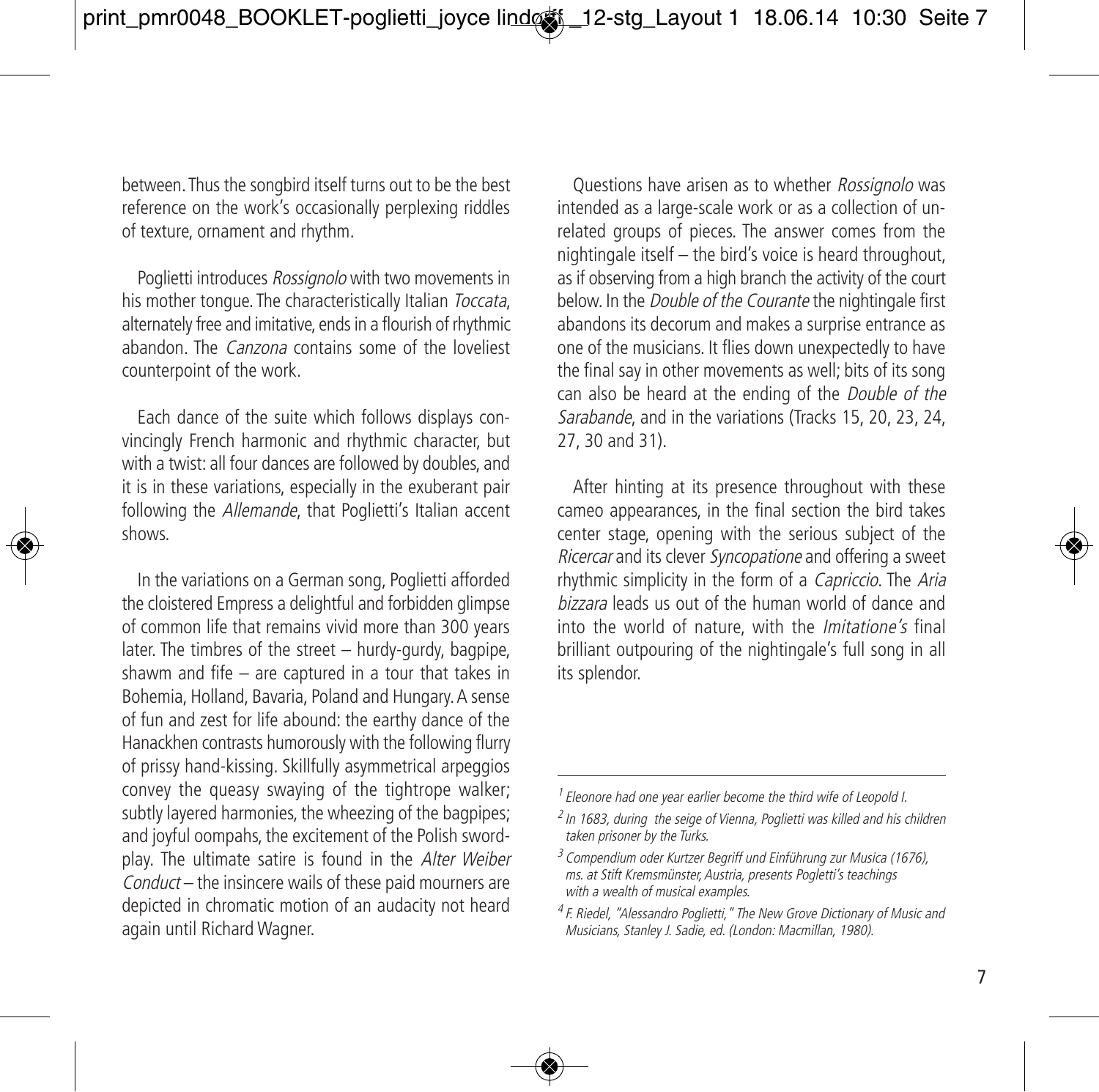between. Thus the songbird itself turns out to be the best reference on the work's occasionally perplexing riddles of texture, ornament and rhythm.

Poglietti introduces Rossianolo with two movements in his mother tongue. The characteristically Italian Toccata, alternately free and imitative, ends in a flourish of rhythmic abandon. The Canzona contains some of the loveliest counterpoint of the work.

Each dance of the suite which follows displays convincingly French harmonic and rhythmic character, but with a twist: all four dances are followed by doubles, and it is in these variations, especially in the exuberant pair following the Allemande, that Poglietti's Italian accent shows.

In the variations on a German song, Poglietti afforded the cloistered Empress a delightful and forbidden glimpse of common life that remains vivid more than 300 years later. The timbres of the street – hurdy-gurdy, bagpipe, shawm and fife – are captured in a tour that takes in Bohemia, Holland, Bavaria, Poland and Hungary. A sense of fun and zest for life abound: the earthy dance of the Hanackhen contrasts humorously with the following flurry of prissy hand-kissing. Skillfully asymmetrical arpeggios convey the queasy swaying of the tightrope walker; subtly layered harmonies, the wheezing of the bagpipes; and joyful oompahs, the excitement of the Polish swordplay. The ultimate satire is found in the Alter Weiber Conduct – the insincere wails of these paid mourners are depicted in chromatic motion of an audacity not heard again until Richard Wagner.

Questions have arisen as to whether Rossignolo was intended as a large-scale work or as a collection of unrelated groups of pieces. The answer comes from the nightingale itself – the bird's voice is heard throughout, as if observing from a high branch the activity of the court below. In the *Double of the Courante* the nightingale first abandons its decorum and makes a surprise entrance as one of the musicians. It flies down unexpectedly to have the final say in other movements as well; bits of its song can also be heard at the ending of the Double of the Sarabande, and in the variations (Tracks 15, 20, 23, 24, 27, 30 and 31).

After hinting at its presence throughout with these cameo appearances, in the final section the bird takes center stage, opening with the serious subject of the Ricercar and its clever Syncopatione and offering a sweet rhythmic simplicity in the form of a Capriccio. The Aria bizzara leads us out of the human world of dance and into the world of nature, with the Imitatione's final brilliant outpouring of the nightingale's full song in all its splendor.

<sup>&</sup>lt;sup>1</sup> Eleonore had one year earlier become the third wife of Leopold I.

 $<sup>2</sup>$  In 1683, during the seige of Vienna, Poglietti was killed and his children</sup> taken prisoner by the Turks.

 $3$  Compendium oder Kurtzer Begriff und Einführung zur Musica (1676). ms. at Stift Kremsmünster, Austria, presents Pogletti's teachings with a wealth of musical examples.

<sup>4</sup> F. Riedel, "Alessandro Poglietti," The New Grove Dictionary of Music and Musicians, Stanley J. Sadie, ed. (London: Macmillan, 1980).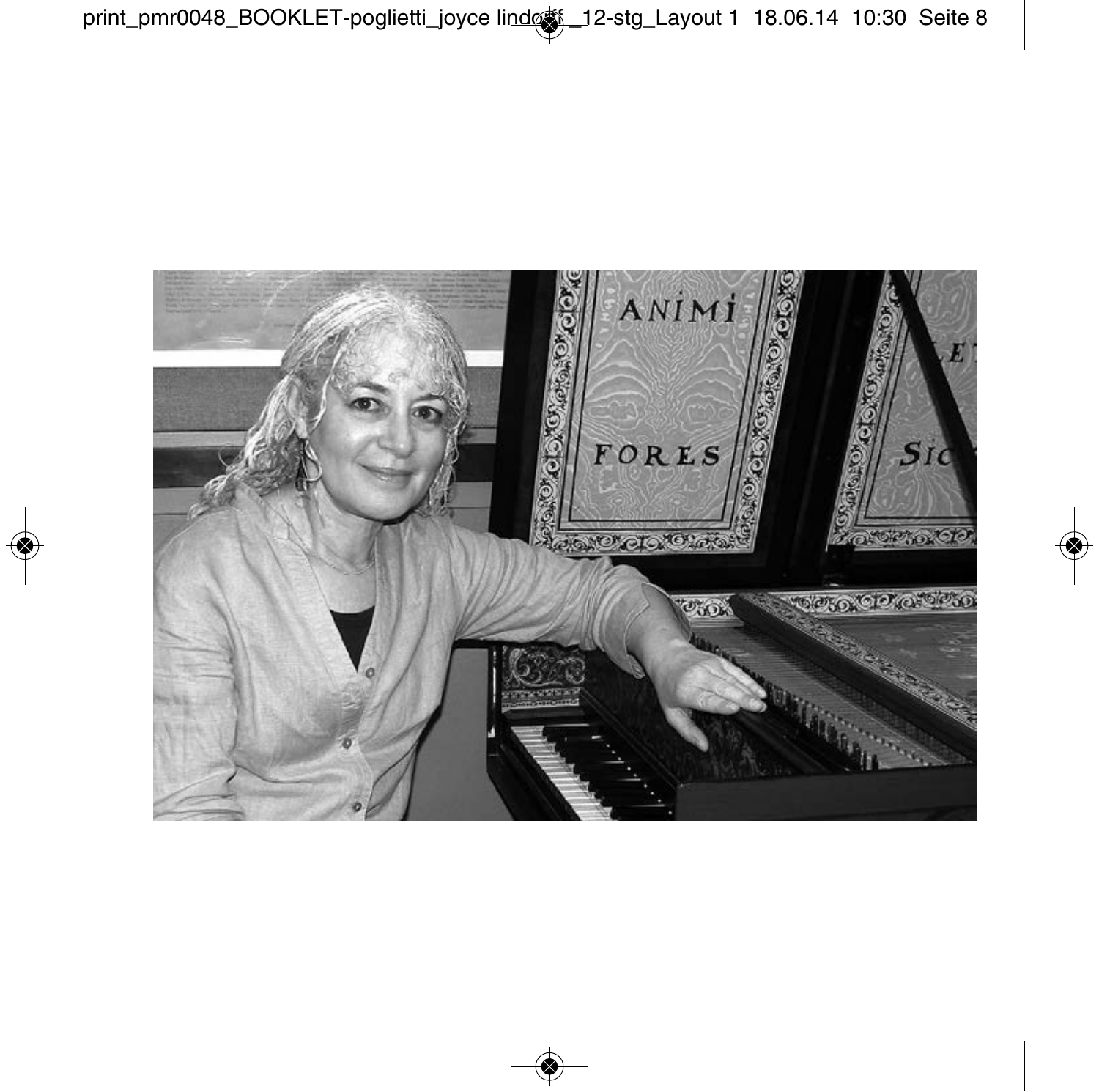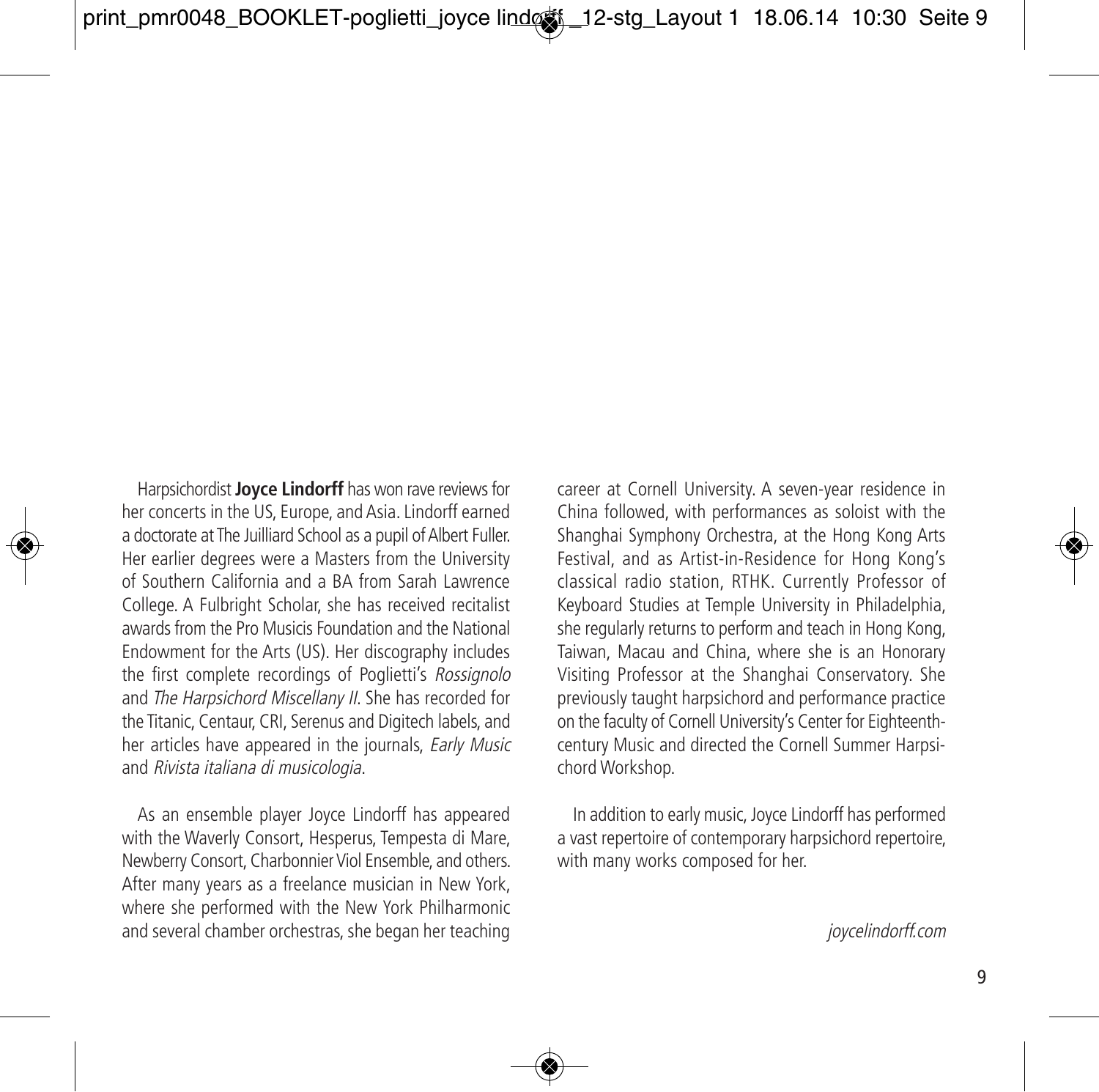Harpsichordist **Joyce Lindorff** has won rave reviews for her concerts in the US, Europe, and Asia. Lindorff earned a doctorate at The Juilliard School as a pupil of Albert Fuller. Her earlier degrees were a Masters from the University of Southern California and a BA from Sarah Lawrence College. A Fulbright Scholar, she has received recitalist awards from the Pro Musicis Foundation and the National Endowment for the Arts (US). Her discography includes the first complete recordings of Poglietti's Rossianolo and The Harpsichord Miscellany II. She has recorded for the Titanic, Centaur, CRI, Serenus and Digitech labels, and her articles have appeared in the journals. *Early Music* and Rivista italiana di musicologia.

As an ensemble player Joyce Lindorff has appeared with the Waverly Consort, Hesperus, Tempesta di Mare, Newberry Consort, Charbonnier Viol Ensemble, and others. After many years as a freelance musician in New York, where she performed with the New York Philharmonic and several chamber orchestras, she began her teaching career at Cornell University. A seven-year residence in China followed, with performances as soloist with the Shanghai Symphony Orchestra, at the Hong Kong Arts Festival, and as Artist-in-Residence for Hong Kong's classical radio station, RTHK. Currently Professor of Keyboard Studies at Temple University in Philadelphia, she regularly returns to perform and teach in Hong Kong, Taiwan, Macau and China, where she is an Honorary Visiting Professor at the Shanghai Conservatory. She previously taught harpsichord and performance practice on the faculty of Cornell University's Center for Eighteenthcentury Music and directed the Cornell Summer Harpsichord Workshop.

In addition to early music, Joyce Lindorff has performed a vast repertoire of contemporary harpsichord repertoire, with many works composed for her.

joycelindorff.com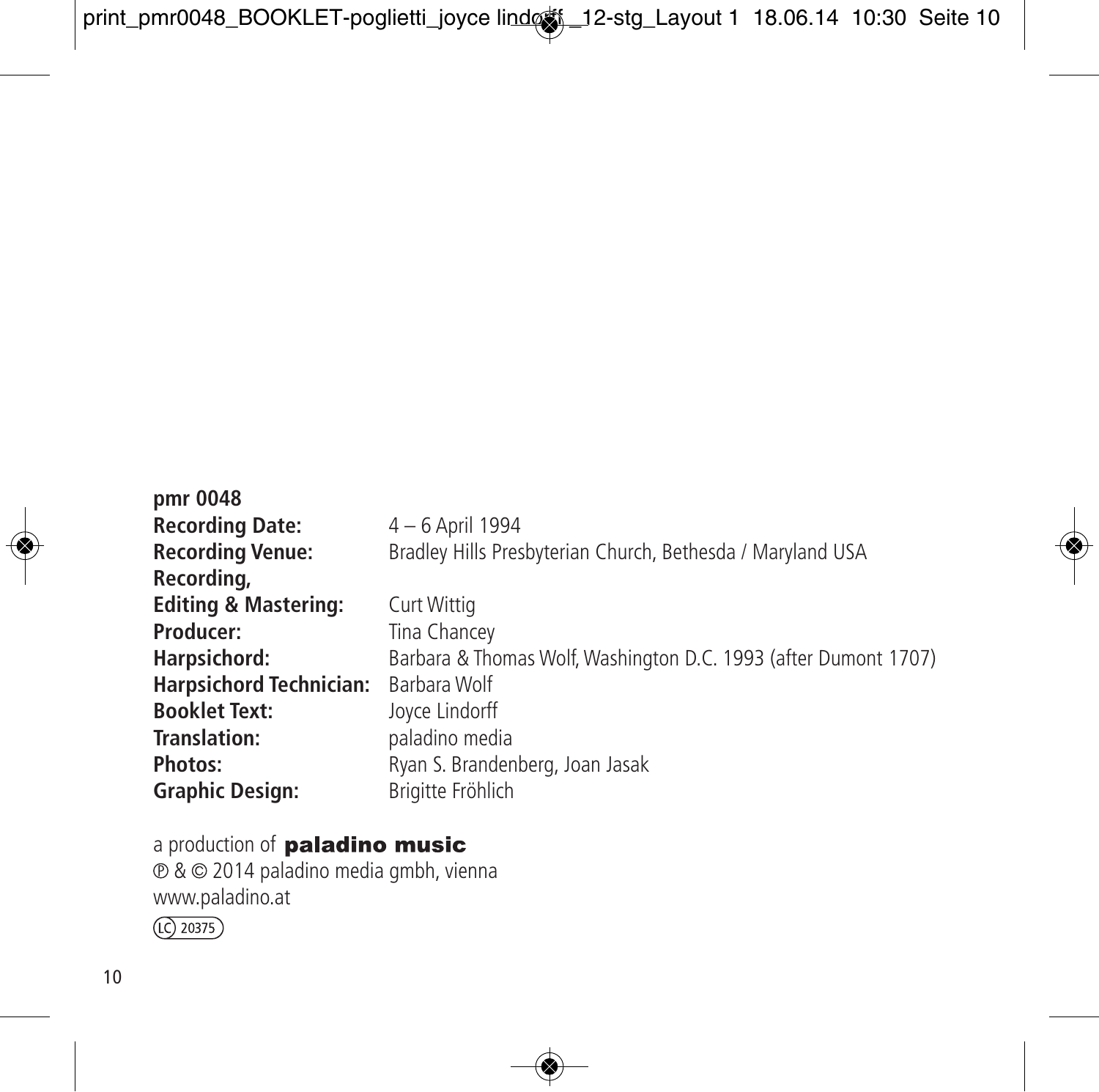| pmr 0048                        |                                                                 |
|---------------------------------|-----------------------------------------------------------------|
| <b>Recording Date:</b>          | 4 – 6 April 1994                                                |
| <b>Recording Venue:</b>         | Bradley Hills Presbyterian Church, Bethesda / Maryland USA      |
| Recording,                      |                                                                 |
| <b>Editing &amp; Mastering:</b> | Curt Wittig                                                     |
| Producer:                       | Tina Chancey                                                    |
| Harpsichord:                    | Barbara & Thomas Wolf, Washington D.C. 1993 (after Dumont 1707) |
| <b>Harpsichord Technician:</b>  | Barbara Wolf                                                    |
| <b>Booklet Text:</b>            | Joyce Lindorff                                                  |
| <b>Translation:</b>             | paladino media                                                  |
| Photos:                         | Ryan S. Brandenberg, Joan Jasak                                 |
| <b>Graphic Design:</b>          | Brigitte Fröhlich                                               |

a production of **paladino music** & 2014 paladino media gmbh, vienna www.paladino.at

 $(\overline{LC})$  20375)